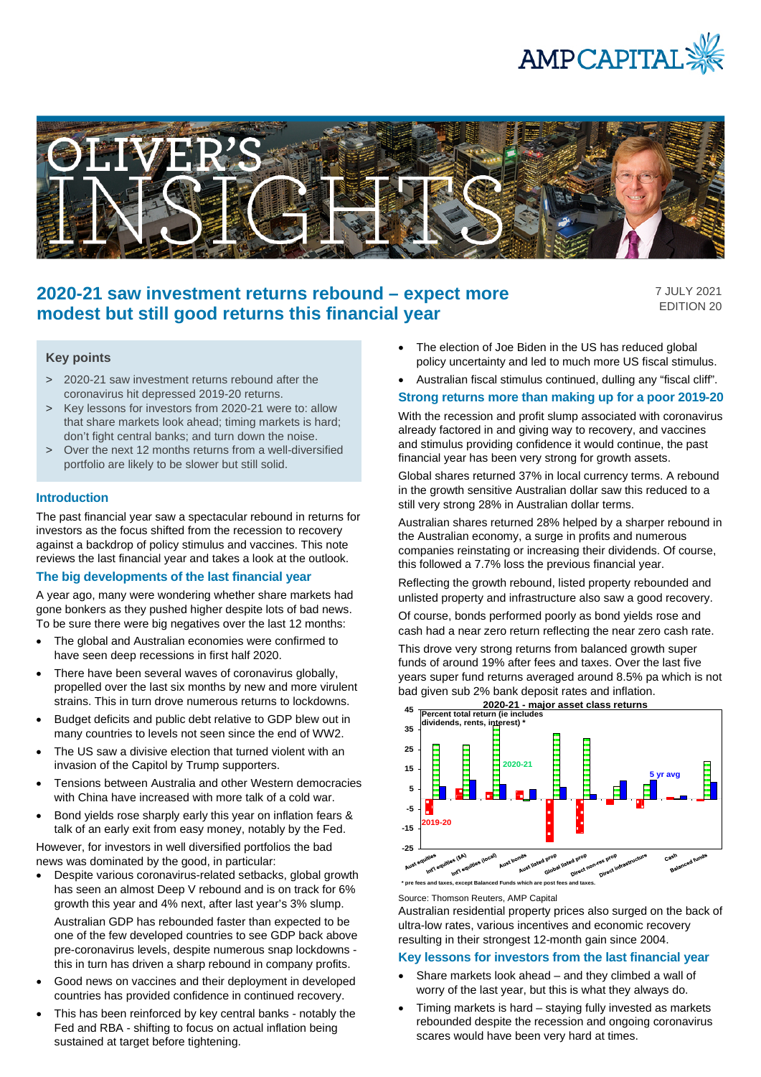



# **2020-21 saw investment returns rebound – expect more modest but still good returns this financial year**

7 JULY 2021 EDITION 20

#### **Key points**

- > 2020-21 saw investment returns rebound after the coronavirus hit depressed 2019-20 returns.
- > Key lessons for investors from 2020-21 were to: allow that share markets look ahead; timing markets is hard; don't fight central banks; and turn down the noise.
- > Over the next 12 months returns from a well-diversified portfolio are likely to be slower but still solid.

#### **Introduction**

The past financial year saw a spectacular rebound in returns for investors as the focus shifted from the recession to recovery against a backdrop of policy stimulus and vaccines. This note reviews the last financial year and takes a look at the outlook.

### **The big developments of the last financial year**

A year ago, many were wondering whether share markets had gone bonkers as they pushed higher despite lots of bad news. To be sure there were big negatives over the last 12 months:

- The global and Australian economies were confirmed to have seen deep recessions in first half 2020.
- There have been several waves of coronavirus globally, propelled over the last six months by new and more virulent strains. This in turn drove numerous returns to lockdowns.
- Budget deficits and public debt relative to GDP blew out in many countries to levels not seen since the end of WW2.
- The US saw a divisive election that turned violent with an invasion of the Capitol by Trump supporters.
- Tensions between Australia and other Western democracies with China have increased with more talk of a cold war.
- Bond yields rose sharply early this year on inflation fears & talk of an early exit from easy money, notably by the Fed.

However, for investors in well diversified portfolios the bad news was dominated by the good, in particular:

- Despite various coronavirus-related setbacks, global growth has seen an almost Deep V rebound and is on track for 6% growth this year and 4% next, after last year's 3% slump. Australian GDP has rebounded faster than expected to be one of the few developed countries to see GDP back above pre-coronavirus levels, despite numerous snap lockdowns this in turn has driven a sharp rebound in company profits.
- Good news on vaccines and their deployment in developed countries has provided confidence in continued recovery.
- This has been reinforced by key central banks notably the Fed and RBA - shifting to focus on actual inflation being sustained at target before tightening.
- The election of Joe Biden in the US has reduced global policy uncertainty and led to much more US fiscal stimulus.
- Australian fiscal stimulus continued, dulling any "fiscal cliff".

#### **Strong returns more than making up for a poor 2019-20**

With the recession and profit slump associated with coronavirus already factored in and giving way to recovery, and vaccines and stimulus providing confidence it would continue, the past financial year has been very strong for growth assets.

Global shares returned 37% in local currency terms. A rebound in the growth sensitive Australian dollar saw this reduced to a still very strong 28% in Australian dollar terms.

Australian shares returned 28% helped by a sharper rebound in the Australian economy, a surge in profits and numerous companies reinstating or increasing their dividends. Of course, this followed a 7.7% loss the previous financial year.

Reflecting the growth rebound, listed property rebounded and unlisted property and infrastructure also saw a good recovery.

Of course, bonds performed poorly as bond yields rose and cash had a near zero return reflecting the near zero cash rate.

This drove very strong returns from balanced growth super funds of around 19% after fees and taxes. Over the last five years super fund returns averaged around 8.5% pa which is not bad given sub 2% bank deposit rates and inflation.



Source: Thomson Reuters, AMP Capital

Australian residential property prices also surged on the back of ultra-low rates, various incentives and economic recovery resulting in their strongest 12-month gain since 2004.

#### **Key lessons for investors from the last financial year**

- Share markets look ahead and they climbed a wall of worry of the last year, but this is what they always do.
- Timing markets is hard staying fully invested as markets rebounded despite the recession and ongoing coronavirus scares would have been very hard at times.